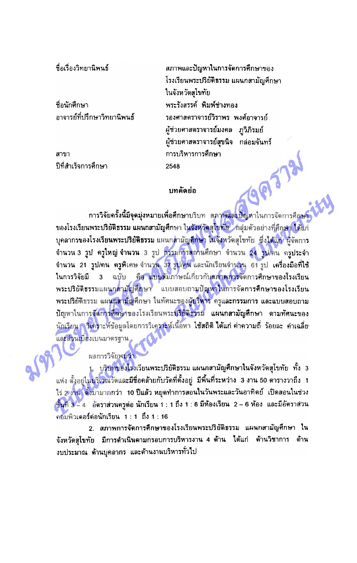ชื่อเรื่องวิทยานิพนธ์

ที่อนักศึกษา อาจารย์ที่ปรึกษาวิทยานิพนธ์

สาขา ปีที่สำเร็จการศึกษา ิสภาพและปัญหาในการจัดการศึกษาของ โรงเรียนพระปริยัติธรรม แผนกลามัญศึกษา ในจังหวัดสุโขทัย พระรังสรรค์ พิมพ์ช่างทอง รองศาสตราจารย์วิราพร พงศ์อาจารย์ ผู้ช่วยศาสตราจารย์มงคล ภวิภิรมย์ ผู้ช่วยคาสตราจารย์สุขนิจ กล่อมจันทร์ การบริหารการศึกษา 2548 693731

## บทคัดย่อ

-กา**รวิจัยครั้งนี้มีจุดมุ่งหมายเพื่อศึกษ**าบริบท -สภ**าพและปัญห**าในการจัดการศึกษา ของโรงเรียนพระปริยัติธรรม แผนกลามัญศึกษา ในจังหวัดสุโขทัย กลุ่มตัวอย่างที่ศึกษา ได้แก่ ี บุคลากรของโรงเรียนพระปริยัติธรรม แผนก<mark>สามัญลึกษ</mark>า ในจังหวัดสุโขทัย ซึ่งได้แก่ ผู้จัดการ จำนวน 3 รูป ครูใหญ่ จำนวน 3 รูป <mark>กรรมการสถานศึกษา จำนวน 24 รูป/</mark>คน ครูประจำ จำนวน 21 รูป/คน ครูพิเศษ จำนวน 37 รูป/คน และนักเรียนจำนวน 61 รูป เครื่องมือที่ใช้ ็ฉบับ คือ แบบสัมภาษณ์เกี่ยวกับสภาพการจัดการศึกษาของโรงเรียน ในการวิจัยมี  $3<sup>7</sup>$ พระปริยัติธรรมแผนกลามัญศึกษา แบบสอบถามปัญหาในการจัดการศึกษาของโรงเรียน พระปริยัติธรรม แผ<mark>นกลามัญ</mark>ศึกษา ในทัศนะของผู้บริหาร ครูและกรรมการ และแบบสอบถาม ู้ปัญหาในการจัดการศึกษาของโรงเรียนพระปริยัติธรรม แผนก**ลามัญศึกษา ดามทัศนะ**ของ <u>นักเรียน ควิเคราะห์ข้อมูลโดยการวิเคราะห์เนื้อหา ใช้สถิติ ได้แก่ ค่าความถี่ ร้อยละ ค่าเฉลี่ย</u> และส่วนเบียงเบนมาดรฐาน

ู ผลการวิจัยพ**บว่า** 

1. บริบทของโรงเรียนพระปริยัติธรรม แผนกลามัญศึกษาในจังหวัดสุโขทัย ทั้ง 3 แห่ง ตั้งอยู่ใน<mark>บริเวณวัดและมีชื่อคล้ายกับวัดที่ตั้งอยู่ มีพื้นที่ระหว่าง 3 งาน 50 ตารางวาถึง 1</mark> ไร่ 2 งาน ตั้งมามากกว่า 10 ปีแล้ว หยุดทำการสอนในวันพระและวันอาทิตย์ เปิดสอนในช่วง ชั้นที่ 3 - 4 อัตราส่วนครูต่อ นักเรียน 1 : 1 ถึง 1 : 6 มีห้องเรียน 2 - 6 ห้อง และมีอัตราส่วน คอมพิวเตอร์ต่อนักเรียน 1 : 1 ถึง 1 : 16

2. สภาพการจัดการศึกษาของโรงเรียนพระปริยัติธรรม แผนกสามัญศึกษา ใน จังหวัดสุโขทัย มีการดำเนินดามกรอบการบริหารงาน 4 ด้าน ได้แก่ ด้านวิชาการ ด้าน งบประมาณ ด้านบุคลากร และด้านงานบริหารทั่วไป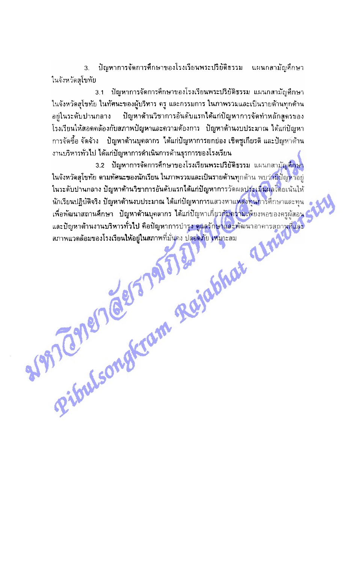ปัญหาการจัดการศึกษาของโรงเรียนพระปริยัติธรรม แผนกลามัญศึกษา  $\overline{3}$ . ในจังหวัดสโขทัย

ปัญหาการจัดการศึกษาของโรงเรียนพระปริยัติธรรม แผนกลามัญศึกษา  $3.1$ ในจังหวัดสุโขทัย ในทัศนะของผู้บริหาร ครู และกรรมการ ในภาพรวมและเป็นรายด้านทุกด้าน ปัญหาด้านวิชาการอันดับแรกได้แก่ปัญหาการจัดทำหลักสูตรของ ้อย่ในระดับปานกลาง โรงเรียนให้สอดคล้องกับสภาพปัญหาและความต้องการ ปัญหาด้านงบประมาณ ได้แก่ปัญหา ่ การจัดซื้อ จัดจ้าง - ปัญหาด้านบุคลากร ได้แก่ปัญหาการยกย่อง เชิดซูเกียรติ และปัญหาด้าน งานบริหารทั่วไป ได้แก่ปัญหาการดำเนินการด้านธุรการของโรงเรียน

Riftlement Reichstadt 3.2 ปัญหาการจัดการศึกษาของโรงเรียนพระปริยัติธรรม แผนกลามัญศึกษา ์ ในจังหวัดสุโขทัย ตามทัศนะของนักเรียน ในภาพรวมและเป็นรายด้านทุกด้าน พบว่ามีปัญหาอยู่ ์ ในระดับปานกลาง ปัญหาต้านวิชาการอันดับแรกได้แก่ปัญหาการวัดผลประเมินผลโดยเน้นให้ ้นักเรียนปฏิบัติจริง ปัญหาด้านงบประมาณ ได้แก่ปัญหาการแสวงหาแหล่งทุนการศึกษาและทุน เ ้เพื่อพัฒนาสถานศึกษา ปัญหาด้านบุคลากร ได้แก่ปัญหาเกี่ยวกับความเพียงพอของครูผู้สอน ้และปัญหาด้านงานบริหารทั่วไป คือปัญหาการบำรุง ดูแลรักษาและพัฒนาอาคารสถานที่และ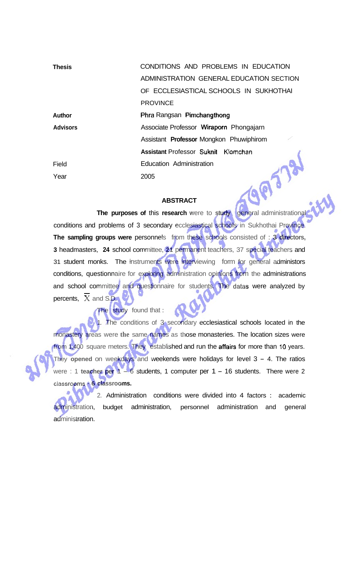| <b>Thesis</b>   | CONDITIONS AND PROBLEMS IN EDUCATION     |
|-----------------|------------------------------------------|
|                 | ADMINISTRATION GENERAL EDUCATION SECTION |
|                 | OF ECCLESIASTICAL SCHOOLS IN SUKHOTHAI   |
|                 | <b>PROVINCE</b>                          |
| Author          | Phra Rangsan Pimchangthong               |
| <b>Advisors</b> | Associate Professor Wiraporn Phongajarn  |
|                 | Assistant Professor Mongkon Phuwiphirom  |
|                 | Assistant Professor Suknit Klomchan      |
| Field           | Education Administration                 |
| Year            | 2005                                     |

## **ABSTRACT**

**The purposes of this research were to study general administrational** conditions and problems of 3 secondary ecclesiastical schools in Sukhothai Province. **The sampling groups were** personnels from these schools consisted of : **3 directors, 3** headmasters, **24** school committee, **21** permanent teachers, 37 special teachers and 31 student monks. The instruments were interviewing form for general administors conditions, questionnaire for exploring administration opinions from the administrations and school committee and questionnaire for students. The **datas** were analyzed by percents, **X** and S.D.

The study found that :

1. The conditions of 3 secondary ecclesiastical schools located in the monastery areas were **the** same names as those monasteries. The location sizes were from 1,400 square meters. They established and run the **affairs** for more than **10** years. They **opened** on weekdays and weekends were holidays for level 3 - 4. The ratios were : 1 **teacher per** 1 - 6 students, 1 computer per 1 - 16 students. There were 2  **lassr rooms** - **6 classrooms.** 

2. Administration conditions were divided into 4 factors : academic administration, budget administration, personnel administration and general administration.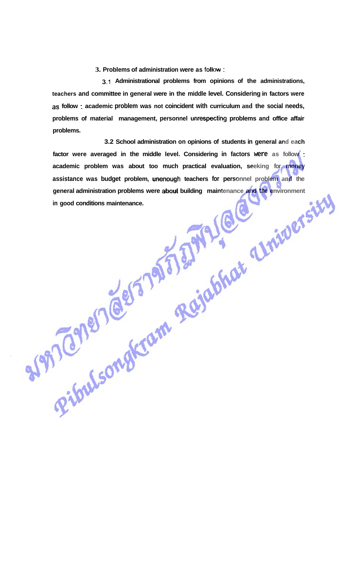**3. Problems of administration were as follow** :

**3.1 Administrational problems from opinions of the administrations, teachers and committee in general were in the middle level. Considering in factors were as follow** : **academic problem was not coincident with curriculum and the social needs, problems of material management, personnel unrespecting problems and office affair problems.** 

**3.2 School administration on opinions of students in general and each factor were averaged in the middle level. Considering in factors were as follow** : **academic problem was about too much practical evaluation, seeking for money assistance was budget problem, unenough teachers for personnel problem and the general administration problems were abut building maintenance and the environment in good conditions maintenance.**